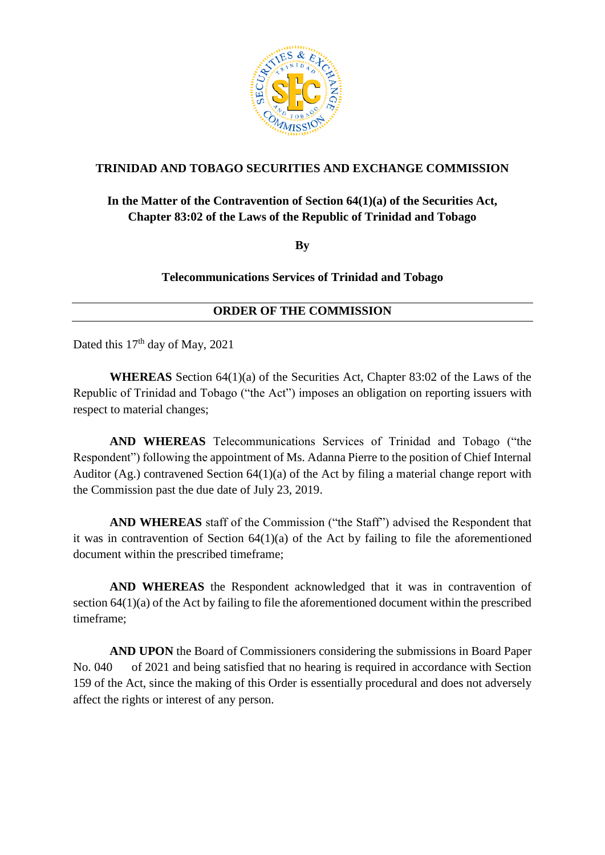

#### **TRINIDAD AND TOBAGO SECURITIES AND EXCHANGE COMMISSION**

# **In the Matter of the Contravention of Section 64(1)(a) of the Securities Act, Chapter 83:02 of the Laws of the Republic of Trinidad and Tobago**

**By**

**Telecommunications Services of Trinidad and Tobago**

## **ORDER OF THE COMMISSION**

Dated this  $17<sup>th</sup>$  day of May, 2021

**WHEREAS** Section 64(1)(a) of the Securities Act, Chapter 83:02 of the Laws of the Republic of Trinidad and Tobago ("the Act") imposes an obligation on reporting issuers with respect to material changes;

**AND WHEREAS** Telecommunications Services of Trinidad and Tobago ("the Respondent") following the appointment of Ms. Adanna Pierre to the position of Chief Internal Auditor (Ag.) contravened Section 64(1)(a) of the Act by filing a material change report with the Commission past the due date of July 23, 2019.

**AND WHEREAS** staff of the Commission ("the Staff") advised the Respondent that it was in contravention of Section  $64(1)(a)$  of the Act by failing to file the aforementioned document within the prescribed timeframe;

**AND WHEREAS** the Respondent acknowledged that it was in contravention of section 64(1)(a) of the Act by failing to file the aforementioned document within the prescribed timeframe;

**AND UPON** the Board of Commissioners considering the submissions in Board Paper No. 040 of 2021 and being satisfied that no hearing is required in accordance with Section 159 of the Act, since the making of this Order is essentially procedural and does not adversely affect the rights or interest of any person.